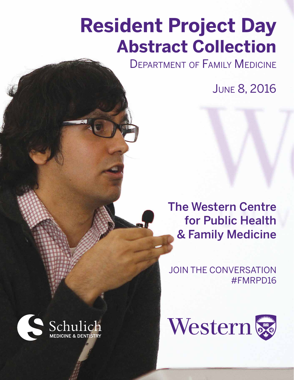# **Resident Project Day Abstract Collection**

**DEPARTMENT OF FAMILY MEDICINE** 

June 8, 2016

The Western Centre for Public Health & Family Medicine

JOIN THE CONVERSATION #FMRPD16



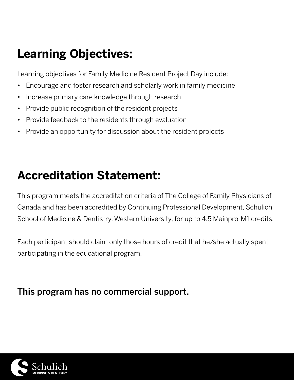# **Learning Objectives:**

Learning objectives for Family Medicine Resident Project Day include:

- Encourage and foster research and scholarly work in family medicine
- Increase primary care knowledge through research
- Provide public recognition of the resident projects
- Provide feedback to the residents through evaluation
- Provide an opportunity for discussion about the resident projects

# **Accreditation Statement:**

This program meets the accreditation criteria of The College of Family Physicians of Canada and has been accredited by Continuing Professional Development, Schulich School of Medicine & Dentistry, Western University, for up to 4.5 Mainpro-M1 credits.

Each participant should claim only those hours of credit that he/she actually spent participating in the educational program.

# This program has no commercial support.

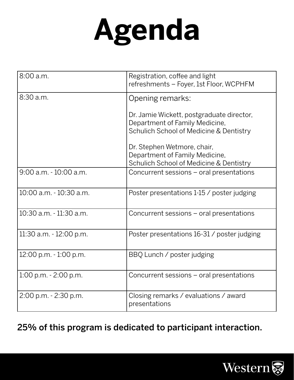# **Agenda**

| 8:00 a.m.                 | Registration, coffee and light<br>refreshments - Foyer, 1st Floor, WCPHFM                                              |
|---------------------------|------------------------------------------------------------------------------------------------------------------------|
| 8:30 a.m.                 | Opening remarks:                                                                                                       |
|                           | Dr. Jamie Wickett, postgraduate director,<br>Department of Family Medicine,<br>Schulich School of Medicine & Dentistry |
|                           | Dr. Stephen Wetmore, chair,<br>Department of Family Medicine,<br>Schulich School of Medicine & Dentistry               |
| $9:00$ a.m. $-10:00$ a.m. | Concurrent sessions - oral presentations                                                                               |
| 10:00 a.m. - 10:30 a.m.   | Poster presentations 1-15 / poster judging                                                                             |
| 10:30 a.m. - 11:30 a.m.   | Concurrent sessions – oral presentations                                                                               |
| 11:30 a.m. - 12:00 p.m.   | Poster presentations 16-31 / poster judging                                                                            |
| 12:00 p.m. - 1:00 p.m.    | BBQ Lunch / poster judging                                                                                             |
| 1:00 p.m. - 2:00 p.m.     | Concurrent sessions – oral presentations                                                                               |
| 2:00 p.m. - 2:30 p.m.     | Closing remarks / evaluations / award<br>presentations                                                                 |

25% of this program is dedicated to participant interaction.

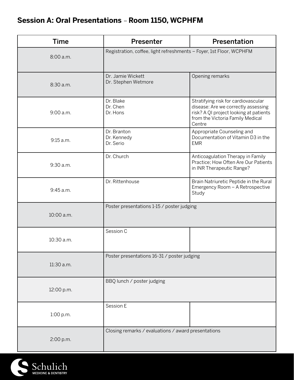# **Session A: Oral Presentations** – **Room 1150, WCPHFM**

| <b>Time</b> | Presenter                                                           | Presentation                                                                                                                                                       |
|-------------|---------------------------------------------------------------------|--------------------------------------------------------------------------------------------------------------------------------------------------------------------|
| 8:00 a.m.   | Registration, coffee, light refreshments - Foyer, 1st Floor, WCPHFM |                                                                                                                                                                    |
| 8:30 a.m.   | Dr. Jamie Wickett<br>Dr. Stephen Wetmore                            | Opening remarks                                                                                                                                                    |
| 9:00 a.m.   | Dr. Blake<br>Dr. Chen<br>Dr. Hons                                   | Stratifying risk for cardiovascular<br>disease: Are we correctly assessing<br>risk? A QI project looking at patients<br>from the Victoria Family Medical<br>Centre |
| 9:15 a.m.   | Dr. Branton<br>Dr. Kennedy<br>Dr. Serio                             | Appropriate Counseling and<br>Documentation of Vitamin D3 in the<br><b>EMR</b>                                                                                     |
| 9:30 a.m.   | Dr. Church                                                          | Anticoagulation Therapy in Family<br>Practice; How Often Are Our Patients<br>in INR Therapeutic Range?                                                             |
| 9:45 a.m.   | Dr. Rittenhouse                                                     | Brain Natriuretic Peptide in the Rural<br>Emergency Room - A Retrospective<br>Study                                                                                |
| 10:00 a.m.  | Poster presentations 1-15 / poster judging                          |                                                                                                                                                                    |
| 10:30 a.m.  | Session C                                                           |                                                                                                                                                                    |
| 11:30 a.m.  | Poster presentations 16-31 / poster judging                         |                                                                                                                                                                    |
| 12:00 p.m.  | BBQ lunch / poster judging                                          |                                                                                                                                                                    |
| 1:00 p.m.   | Session E                                                           |                                                                                                                                                                    |
| 2:00 p.m.   | Closing remarks / evaluations / award presentations                 |                                                                                                                                                                    |

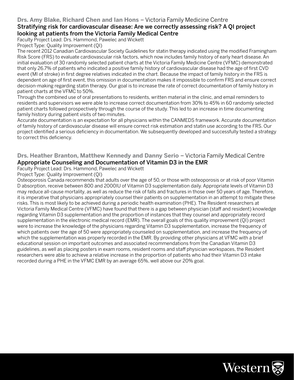#### **Drs. Amy Blake, Richard Chen and Ian Hons** – Victoria Family Medicine Centre

#### Stratifying risk for cardiovascular disease: Are we correctly assessing risk? A QI project looking at patients from the Victoria Family Medical Centre

Faculty Project Lead: Drs. Hammond, Pawelec and Wickett

Project Type: Quality Improvement (QI)

The recent 2012 Canadian Cardiovascular Society Guidelines for statin therapy indicated using the modified Framingham Risk Score (FRS) to evaluate cardiovascular risk factors, which now includes family history of early heart disease. An initial evaluation of 30 randomly selected patient charts at the Victoria Family Medicine Centre (VFMC) demonstrated that only 26.7% of patients who indicated a positive family history of cardiovascular disease had the age of first CVD event (MI of stroke) in first degree relatives indicated in the chart. Because the impact of family history in the FRS is dependent on age of first event, this omission in documentation makes it impossible to confirm FRS and ensure correct decision-making regarding statin therapy. Our goal is to increase the rate of correct documentation of family history in patient charts at the VFMC to 50%.

Through the combined use of oral presentations to residents, written material in the clinic, and email reminders to residents and supervisors we were able to increase correct documentation from 30% to 45% in 60 randomly selected patient charts followed prospectively through the course of the study. This led to an increase in time documenting family history during patient visits of two minutes.

Accurate documentation is an expectation for all physicians within the CANMEDS framework. Accurate documentation of family history of cardiovascular disease will ensure correct risk estimation and statin use according to the FRS. Our project identified a serious deficiency in documentation. We subsequently developed and successfully tested a strategy to correct this deficiency.

#### **Drs. Heather Branton, Matthew Kennedy and Danny Serio** - Victoria Family Medical Centre Appropriate Counseling and Documentation of Vitamin D3 in the EMR

Faculty Project Lead: Drs. Hammond, Pawelec and Wickett

Project Type: Quality Improvement (QI)

Osteoporosis Canada recommends that adults over the age of 50, or those with osteoporosis or at risk of poor Vitamin D absorption, receive between 800 and 2000IU of Vitamin D3 supplementation daily. Appropriate levels of Vitamin D3 may reduce all-cause mortality, as well as reduce the risk of falls and fractures in those over 50 years of age. Therefore, it is imperative that physicians appropriately counsel their patients on supplementation in an attempt to mitigate these risks. This is most likely to be achieved during a periodic health examination (PHE). The Resident researchers at Victoria Family Medical Centre (VFMC) have found that there is a gap between physician (staff and resident) knowledge regarding Vitamin D3 supplementation and the proportion of instances that they counsel and appropriately record supplementation in the electronic medical record (EMR). The overall goals of this quality improvement (QI) project were to increase the knowledge of the physicians regarding Vitamin D3 supplementation, increase the frequency of which patients over the age of 50 were appropriately counseled on supplementation, and increase the frequency of which the supplementation was properly recorded in the EMR. By providing other physicians at VFMC with a brief educational session on important outcomes and associated recommendations from the Canadian Vitamin D3 guidelines, as well as placing posters in exam rooms, resident rooms and staff physician workspaces, the Resident researchers were able to achieve a relative increase in the proportion of patients who had their Vitamin D3 intake recorded during a PHE in the VFMC EMR by an average 65%, well above our 20% goal.

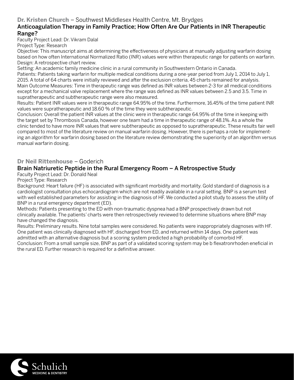#### **Dr. Kristen Church** – Southwest Middlesex Health Centre, Mt. Brydges

#### Anticoagulation Therapy in Family Practice; How Often Are Our Patients in INR Therapeutic Range?

Faculty Project Lead: Dr. Vikram Dalal

Project Type: Research

Objective: This manuscript aims at determining the effectiveness of physicians at manually adjusting warfarin dosing based on how often International Normalized Ratio (INR) values were within therapeutic range for patients on warfarin. Design: A retrospective chart review.

Setting: An academic family medicine clinic in a rural community in Southwestern Ontario in Canada.

Patients: Patients taking warfarin for multiple medical conditions during a one-year period from July 1, 2014 to July 1, 2015. A total of 64 charts were initially reviewed and after the exclusion criteria, 45 charts remained for analysis. Main Outcome Measures: Time in therapeutic range was defined as INR values between 2-3 for all medical conditions except for a mechanical valve replacement where the range was defined as INR values between 2.5 and 3.5. Time in supratherapeutic and subtherapeutic range were also measured.

Results: Patient INR values were in therapeutic range 64.95% of the time. Furthermore, 16.45% of the time patient INR values were supratherapeutic and 18.60 % of the time they were subtherapeutic.

Conclusion: Overall the patient INR values at the clinic were in therapeutic range 64.95% of the time in keeping with the target set by Thrombosis Canada, however one team had a time in therapeutic range of 48.1%. As a whole the clinic tended to have more INR values that were subtherapeutic as opposed to supratherapeutic. These results fair well compared to most of the literature review on manual warfarin dosing. However, there is perhaps a role for implementing an algorithm for warfarin dosing based on the literature review demonstrating the superiority of an algorithm versus manual warfarin dosing.

#### **Dr Neil Rittenhouse** – Goderich

#### Brain Natriuretic Peptide in the Rural Emergency Room – A Retrospective Study

Faculty Project Lead: Dr. Donald Neal

Project Type: Research

Background: Heart failure (HF) is associated with significant morbidity and mortality. Gold standard of diagnosis is a cardiologist consultation plus echocardiogram which are not readily available in a rural setting. BNP is a serum test with well established parameters for assisting in the diagnosis of HF. We conducted a pilot study to assess the utility of BNP in a rural emergency department (ED).

Methods: Patients presenting to the ED with non-traumatic dyspnea had a BNP prospectively drawn but not clinically available. The patients' charts were then retrospectively reviewed to determine situations where BNP may have changed the diagnosis.

Results: Preliminary results. Nine total samples were considered. No patients were inappropriately diagnoses with HF. One patient was clinically diagnosed with HF, discharged from ED, and returned within 14 days. One patient was admitted with an alternative diagnosis but a scoring system predicted a high probability of comorbid HF.

Conclusion: From a small sample size, BNP as part of a validated scoring system may be b flexatronrhoden eneficial in the rural ED. Further research is required for a definitive answer.

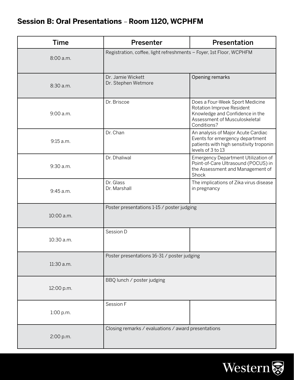# **Session B: Oral Presentations** – **Room 1120, WCPHFM**

| <b>Time</b> | Presenter                                                           | Presentation                                                                                                                                    |
|-------------|---------------------------------------------------------------------|-------------------------------------------------------------------------------------------------------------------------------------------------|
| 8:00 a.m.   | Registration, coffee, light refreshments - Foyer, 1st Floor, WCPHFM |                                                                                                                                                 |
| 8:30 a.m.   | Dr. Jamie Wickett<br>Dr. Stephen Wetmore                            | Opening remarks                                                                                                                                 |
| 9:00 a.m.   | Dr. Briscoe                                                         | Does a Four-Week Sport Medicine<br>Rotation Improve Resident<br>Knowledge and Confidence in the<br>Assessment of Musculoskeletal<br>Conditions? |
| 9:15 a.m.   | Dr. Chan                                                            | An analysis of Major Acute Cardiac<br>Events for emergency department<br>patients with high sensitivity troponin<br>levels of 3 to 13           |
| 9:30 a.m.   | Dr. Dhaliwal                                                        | Emergency Department Utilization of<br>Point-of-Care Ultrasound (POCUS) in<br>the Assessment and Management of<br>Shock                         |
| 9:45 a.m.   | Dr. Glass<br>Dr. Marshall                                           | The implications of Zika virus disease<br>in pregnancy                                                                                          |
| 10:00 a.m.  | Poster presentations 1-15 / poster judging                          |                                                                                                                                                 |
| 10:30 a.m.  | Session D                                                           |                                                                                                                                                 |
| 11:30 a.m.  | Poster presentations 16-31 / poster judging                         |                                                                                                                                                 |
| 12:00 p.m.  | BBQ lunch / poster judging                                          |                                                                                                                                                 |
| 1:00 p.m.   | Session F                                                           |                                                                                                                                                 |
| 2:00 p.m.   | Closing remarks / evaluations / award presentations                 |                                                                                                                                                 |

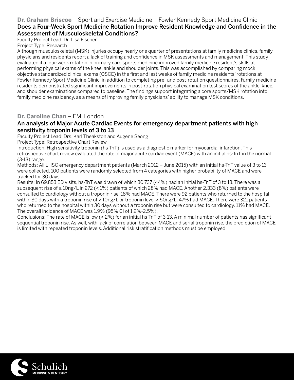#### **Dr. Graham Briscoe** – Sport and Exercise Medicine – Fowler Kennedy Sport Medicine Clinic Does a Four-Week Sport Medicine Rotation Improve Resident Knowledge and Confidence in the Assessment of Musculoskeletal Conditions?

Faculty Project Lead: Dr. Lisa Fischer

Project Type: Research

Although musculoskeletal (MSK) injuries occupy nearly one quarter of presentations at family medicine clinics, family physicians and residents report a lack of training and confidence in MSK assessments and management. This study evaluated if a four-week rotation in primary care sports medicine improved family medicine resident's skills at performing physical exams of the knee, ankle and shoulder joints. This was accomplished by comparing mock objective standardized clinical exams (OSCE) in the first and last weeks of family medicine residents' rotations at Fowler Kennedy Sport Medicine Clinic, in addition to completing pre- and post-rotation questionnaires. Family medicine residents demonstrated significant improvements in post-rotation physical examination test scores of the ankle, knee, and shoulder examinations compared to baseline. The findings support integrating a core sports/MSK rotation into family medicine residency, as a means of improving family physicians' ability to manage MSK conditions.

#### **Dr. Caroline Chan** – EM, London

#### An analysis of Major Acute Cardiac Events for emergency department patients with high sensitivity troponin levels of 3 to 13

Faculty Project Lead: Drs. Karl Theakston and Augene Seong

Project Type: Retrospective Chart Review

Introduction: High sensitivity troponin (hs-TnT) is used as a diagnostic marker for myocardial infarction. This retrospective chart review evaluated the rate of major acute cardiac event (MACE) with an initial hs-TnT in the normal (3-13) range.

Methods: All LHSC emergency department patients (March 2012 – June 2015) with an initial hs-TnT value of 3 to 13 were collected. 100 patients were randomly selected from 4 categories with higher probability of MACE and were tracked for 30 days.

Results: In 69,853 ED visits, hs-TnT was drawn of which 30,737 (44%) had an initial hs-TnT of 3 to 13. There was a subsequent rise of ≥ 10ng/L in 272 (< 1%) patients of which 28% had MACE. Another 2,333 (8%) patients were consulted to cardiology without a troponin rise. 18% had MACE. There were 92 patients who returned to the hospital within 30 days with a troponin rise of > 10ng/L or troponin level > 50ng/L. 47% had MACE. There were 321 patients who returned to the hospital within 30 days without a troponin rise but were consulted to cardiology. 11% had MACE. The overall incidence of MACE was 1.9% (95% CI of 1.2%-2.5%).

Conclusions: The rate of MACE is low (< 2%) for an initial hs-TnT of 3-13. A minimal number of patients has significant sequential troponin rise. As well, with lack of correlation between MACE and serial troponin rise, the prediction of MACE is limited with repeated troponin levels. Additional risk stratification methods must be employed.

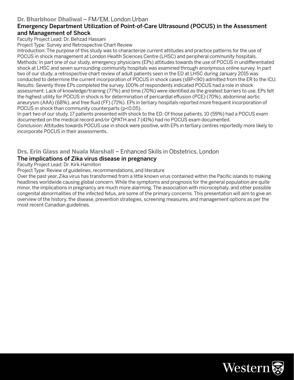#### **Dr. Bharbhoor Dhaliwal** – FM/EM, London Urban

#### Emergency Department Utilization of Point-of-Care Ultrasound (POCUS) in the Assessment and Management of Shock

Faculty Project Lead: Dr. Behzad Hassani

Project Type: Survey and Retrospective Chart Review

Introduction: The purpose of this study was to characterize current attitudes and practice patterns for the use of POCUS in shock management at London Health Sciences Centre (LHSC) and peripheral community hospitals. Methods: In part one of our study, emergency physicians (EPs) attitudes towards the use of POCUS in undifferentiated shock at LHSC and seven surrounding community hospitals was examined through anonymous online survey. In part two of our study, a retrospective chart review of adult patients seen in the ED at LHSC during January 2015 was conducted to determine the current incorporation of POCUS in shock cases (sBP<90) admitted from the ER to the ICU. Results: Seventy three EPs completed the survey. 100% of respondents indicated POCUS had a role in shock assessment. Lack of knowledge/training (77%) and time (70%) were identified as the greatest barriers to use. EPs felt the highest utility for POCUS in shock is for determination of pericardial effusion (PCE) (70%), abdominal aortic aneurysm (AAA) (68%), and free fluid (FF) (71%). EPs in tertiary hospitals reported more frequent incorporation of POCUS in shock than community counterparts (p<0.05).

In part two of our study, 17 patients presented with shock to the ED. Of those patients, 10 (59%) had a POCUS exam documented on the medical record and/or QPATH and 7 (41%) had no POCUS exam documented.

Conclusion: Attitudes towards POCUS use in shock were positive, with EPs in tertiary centres reportedly more likely to incorporate POCUS in their assessments.

#### **Drs. Erin Glass and Nuala Marshall** – Enhanced Skills in Obstetrics, London The implications of Zika virus disease in pregnancy

Faculty Project Lead: Dr. Kirk Hamilton

Project Type: Review of guidelines, recommendations, and literature

Over the past year, Zika virus has transformed from a little known virus contained within the Pacific islands to making headlines worldwide causing global concern. While the symptoms and prognosis for the general population are quite minor, the implications in pregnancy are much more alarming. The association with microcephaly, and other possible congenital abnormalities of the infected fetus, are some of the primary concerns. This presentation will aim to give an overview of the history, the disease, prevention strategies, screening measures, and management options as per the most recent Canadian guidelines.

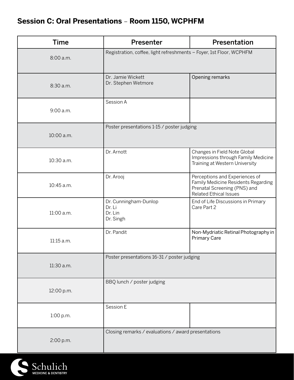# **Session C: Oral Presentations** – **Room 1150, WCPHFM**

| <b>Time</b> | Presenter                                                           | Presentation                                                                                                                           |
|-------------|---------------------------------------------------------------------|----------------------------------------------------------------------------------------------------------------------------------------|
| 8:00 a.m.   | Registration, coffee, light refreshments - Foyer, 1st Floor, WCPHFM |                                                                                                                                        |
| 8:30 a.m.   | Dr. Jamie Wickett<br>Dr. Stephen Wetmore                            | Opening remarks                                                                                                                        |
| 9:00 a.m.   | Session A                                                           |                                                                                                                                        |
| 10:00 a.m.  | Poster presentations 1-15 / poster judging                          |                                                                                                                                        |
| 10:30 a.m.  | Dr. Arnott                                                          | Changes in Field Note Global<br>Impressions through Family Medicine<br>Training at Western University                                  |
| 10:45 a.m.  | Dr. Arooj                                                           | Perceptions and Experiences of<br>Family Medicine Residents Regarding<br>Prenatal Screening (PNS) and<br><b>Related Ethical Issues</b> |
| 11:00 a.m.  | Dr. Cunningham-Dunlop<br>Dr. Li<br>Dr. Lin<br>Dr. Singh             | End of Life Discussions in Primary<br>Care Part 2                                                                                      |
| 11:15 a.m.  | Dr. Pandit                                                          | Non-Mydriatic Retinal Photography in<br><b>Primary Care</b>                                                                            |
| 11:30 a.m.  | Poster presentations 16-31 / poster judging                         |                                                                                                                                        |
| 12:00 p.m.  | BBQ lunch / poster judging                                          |                                                                                                                                        |
| 1:00 p.m.   | Session E                                                           |                                                                                                                                        |
| 2:00 p.m.   | Closing remarks / evaluations / award presentations                 |                                                                                                                                        |

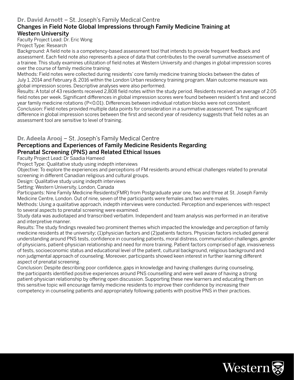#### **Dr. David Arnott** – St. Joseph's Family Medical Centre

#### Changes in Field Note Global Impressions through Family Medicine Training at Western University

Faculty Project Lead: Dr. Eric Wong Project Type: Research

Background: A field note is a competency-based assessment tool that intends to provide frequent feedback and assessment. Each field note also represents a piece of data that contributes to the overall summative assessment of a trainee. This study examines utilization of field notes at Western University and changes in global impression scores over the course of family medicine training.

Methods: Field notes were collected during residents' core family medicine training blocks between the dates of July 1, 2014 and February 8, 2016 within the London Urban residency training program. Main outcome measure was global impression scores. Descriptive analyses were also performed.

Results: A total of 43 residents received 2,808 field notes within the study period. Residents received an average of 2.05 field notes per week. Significant differences in global impression scores were found between resident's first and second year family medicine rotations (P<0.01). Differences between individual rotation blocks were not consistent. Conclusion: Field notes provided multiple data points for consideration in a summative assessment. The significant difference in global impression scores between the first and second year of residency suggests that field notes as an assessment tool are sensitive to level of training.

#### **Dr. Adeela Arooj** – St. Joseph's Family Medical Centre

#### Perceptions and Experiences of Family Medicine Residents Regarding Prenatal Screening (PNS) and Related Ethical Issues

Faculty Project Lead: Dr Saadia Hameed

Project Type: Qualitative study using indepth interviews

Objective: To explore the experiences and perceptions of FM residents around ethical challenges related to prenatal screening in different Canadian religious and cultural groups.

Design: Qualitative study using indepth interviews

Setting: Western University, London, Canada

Participants: Nine Family Medicine Residents(FMR) from Postgraduate year one, two and three at St. Joseph Family Medicine Centre, London. Out of nine, seven of the participants were females and two were males.

Methods: Using a qualitative approach, indepth interviews were conducted. Perception and experiences with respect to several aspects to prenatal screening were examined.

Study data was audiotaped and transcribed verbatim. Independent and team analysis was performed in an iterative and interpretive manner.

Results: The study findings revealed two prominent themes which impacted the knowledge and perception of family medicine residents at the university; (1)physician factors and (2)patients factors. Physician factors included general understanding around PNS tests, confidence in counseling patients, moral distress, communication challenges, gender of physicians, patient-physician relationship and need for more training. Patient factors comprised of age, invasiveness of tests, socioeconomic status and educational level of the patient, cultural background, religious background and non judgmental approach of counseling. Moreover, participants showed keen interest in further learning different aspect of prenatal screening.

Conclusion: Despite describing poor confidence, gaps in knowledge and having challenges during counseling, the participants identified positive experiences around PNS counselling and were well aware of having a strong patient-physician relationship by offering open discussion. Supporting these new learners and educating them on this sensitive topic will encourage family medicine residents to improve their confidence by increasing their competency in counseling patients and appropriately following patients with positive PNS in their practices.

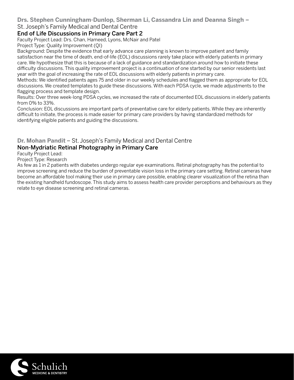### **Drs. Stephen Cunningham-Dunlop, Sherman Li, Cassandra Lin and Deanna Singh** –

#### St. Joseph's Family Medical and Dental Centre

#### End of Life Discussions in Primary Care Part 2

Faculty Project Lead: Drs. Chan, Hameed, Lyons, McNair and Patel

Project Type: Quality Improvement (QI)

Background: Despite the evidence that early advance care planning is known to improve patient and family satisfaction near the time of death, end-of-life (EOL) discussions rarely take place with elderly patients in primary care. We hypothesize that this is because of a lack of guidance and standardization around how to initiate these difficulty discussions. This quality improvement project is a continuation of one started by our senior residents last year with the goal of increasing the rate of EOL discussions with elderly patients in primary care.

Methods: We identified patients ages 75 and older in our weekly schedules and flagged them as appropriate for EOL discussions. We created templates to guide these discussions. With each PDSA cycle, we made adjustments to the flagging process and template design.

Results: Over three week-long PDSA cycles, we increased the rate of documented EOL discussions in elderly patients from 0% to 33%.

Conclusion: EOL discussions are important parts of preventative care for elderly patients. While they are inherently difficult to initiate, the process is made easier for primary care providers by having standardized methods for identifying eligible patients and guiding the discussions.

#### **Dr. Mohan Pandit** – St. Joseph's Family Medical and Dental Centre Non-Mydriatic Retinal Photography in Primary Care

Faculty Project Lead:

Project Type: Research

As few as 1 in 2 patients with diabetes undergo regular eye examinations. Retinal photography has the potential to improve screening and reduce the burden of preventable vision loss in the primary care setting. Retinal cameras have become an affordable tool making their use in primary care possible, enabling clearer visualization of the retina than the existing handheld fundoscope. This study aims to assess health care provider perceptions and behaviours as they relate to eye disease screening and retinal cameras.

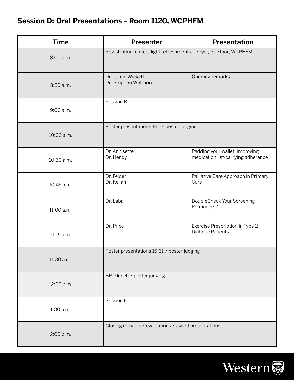# **Session D: Oral Presentations** – **Room 1120, WCPHFM**

| <b>Time</b> | Presenter                                                           | Presentation                                                         |
|-------------|---------------------------------------------------------------------|----------------------------------------------------------------------|
| 8:00 a.m.   | Registration, coffee, light refreshments - Foyer, 1st Floor, WCPHFM |                                                                      |
| 8:30 a.m.   | Dr. Jamie Wickett<br>Dr. Stephen Wetmore                            | Opening remarks                                                      |
| 9:00 a.m.   | Session B                                                           |                                                                      |
| 10:00 a.m.  | Poster presentations 1-15 / poster judging                          |                                                                      |
| 10:30 a.m.  | Dr. Annisette<br>Dr. Hendy                                          | Padding your wallet; improving<br>medication list-carrying adherence |
| 10:45 a.m.  | Dr. Felder<br>Dr. Kellam                                            | Palliative Care Approach in Primary<br>Care                          |
| 11:00 a.m.  | Dr. Laba                                                            | DoubleCheck Your Screening<br>Reminders?                             |
| 11:15 a.m.  | Dr. Price                                                           | Exercise Prescription in Type 2<br><b>Diabetic Patients</b>          |
| 11:30 a.m.  | Poster presentations 16-31 / poster judging                         |                                                                      |
| 12:00 p.m.  | BBQ lunch / poster judging                                          |                                                                      |
| 1:00 p.m.   | Session F                                                           |                                                                      |
| 2:00 p.m.   | Closing remarks / evaluations / award presentations                 |                                                                      |

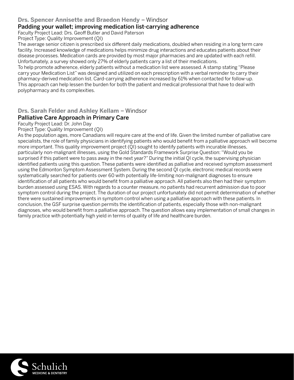#### **Drs. Spencer Annisette and Braedon Hendy - Windsor**

#### Padding your wallet; improving medication list-carrying adherence

Faculty Project Lead: Drs. Geoff Butler and David Paterson

Project Type: Quality Improvement (QI)

The average senior citizen is prescribed six different daily medications, doubled when residing in a long term care facility. Increased knowledge of medications helps minimize drug interactions and educates patients about their disease processes. Medication cards are provided by most major pharmacies and are updated with each refill. Unfortunately, a survey showed only 27% of elderly patients carry a list of their medications.

To help promote adherence, elderly patients without a medication list were assessed. A stamp stating "Please carry your Medication List" was designed and utilized on each prescription with a verbal reminder to carry their pharmacy-derived medication list. Card-carrying adherence increased by 61% when contacted for follow-up. This approach can help lessen the burden for both the patient and medical professional that have to deal with polypharmacy and its complexities.

**Drs. Sarah Felder and Ashley Kellam - Windsor** 

#### Palliative Care Approach in Primary Care

Faculty Project Lead: Dr. John Day

Project Type: Quality Improvement (QI)

As the population ages, more Canadians will require care at the end of life. Given the limited number of palliative care specialists, the role of family physicians in identifying patients who would benefit from a palliative approach will become more important. This quality improvement project (QI) sought to identify patients with incurable illnesses, particularly non-malignant illnesses, using the Gold Standards Framework Surprise Question: "Would you be surprised if this patient were to pass away in the next year?" During the initial QI cycle, the supervising physician identified patients using this question. These patients were identified as palliative and received symptom assessment using the Edmonton Symptom Assessment System. During the second QI cycle, electronic medical records were systematically searched for patients over 60 with potentially life-limiting non-malignant diagnoses to ensure identification of all patients who would benefit from a palliative approach. All patients also then had their symptom burden assessed using ESAS. With regards to a counter measure, no patients had recurrent admission due to poor symptom control during the project. The duration of our project unfortunately did not permit determination of whether there were sustained improvements in symptom control when using a palliative approach with these patients. In conclusion, the GSF surprise question permits the identification of patients, especially those with non-malignant diagnoses, who would benefit from a palliative approach. The question allows easy implementation of small changes in family practice with potentially high yield in terms of quality of life and healthcare burden.

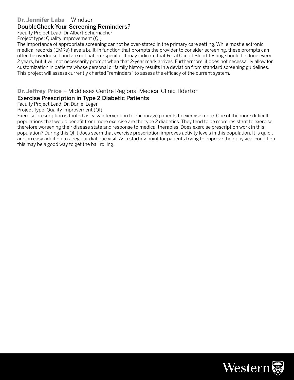#### **Dr. Jennifer Laba** – Windsor

#### DoubleCheck Your Screening Reminders?

Faculty Project Lead: Dr Albert Schumacher

Project type: Quality Improvement (QI)

The importance of appropriate screening cannot be over-stated in the primary care setting. While most electronic medical records (EMRs) have a built-in function that prompts the provider to consider screening, these prompts can often be overlooked and are not patient-specific. It may indicate that Fecal Occult Blood Testing should be done every 2 years, but it will not necessarily prompt when that 2-year mark arrives. Furthermore, it does not necessarily allow for customization in patients whose personal or family history results in a deviation from standard screening guidelines. This project will assess currently charted "reminders" to assess the efficacy of the current system.

**Dr. Jeffrey Price** – Middlesex Centre Regional Medical Clinic, Ilderton

#### Exercise Prescription in Type 2 Diabetic Patients

Faculty Project Lead: Dr. Daniel Leger

Project Type: Quality Improvement (QI)

Exercise prescription is touted as easy intervention to encourage patients to exercise more. One of the more difficult populations that would benefit from more exercise are the type 2 diabetics. They tend to be more resistant to exercise therefore worsening their disease state and response to medical therapies. Does exercise prescription work in this population? During this QI it does seem that exercise prescription improves activity levels in this population. It is quick and an easy addition to a regular diabetic visit. As a starting point for patients trying to improve their physical condition this may be a good way to get the ball rolling.

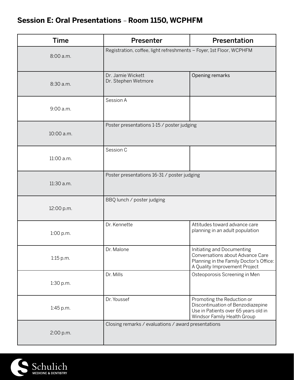# **Session E: Oral Presentations** – **Room 1150, WCPHFM**

| <b>Time</b> | <b>Presenter</b>                                                    | Presentation                                                                                                                               |
|-------------|---------------------------------------------------------------------|--------------------------------------------------------------------------------------------------------------------------------------------|
| 8:00 a.m.   | Registration, coffee, light refreshments - Foyer, 1st Floor, WCPHFM |                                                                                                                                            |
| 8:30 a.m.   | Dr. Jamie Wickett<br>Dr. Stephen Wetmore                            | Opening remarks                                                                                                                            |
| 9:00 a.m.   | Session A                                                           |                                                                                                                                            |
| 10:00 a.m.  | Poster presentations 1-15 / poster judging                          |                                                                                                                                            |
| 11:00 a.m.  | Session C                                                           |                                                                                                                                            |
| 11:30 a.m.  | Poster presentations 16-31 / poster judging                         |                                                                                                                                            |
| 12:00 p.m.  | BBQ lunch / poster judging                                          |                                                                                                                                            |
| 1:00 p.m.   | Dr. Kennette                                                        | Attitudes toward advance care<br>planning in an adult population                                                                           |
| $1:15$ p.m. | Dr. Malone                                                          | Initiating and Documenting<br>Conversations about Advance Care<br>Planning in the Family Doctor's Office:<br>A Quality Improvement Project |
| 1:30 p.m.   | Dr. Mills                                                           | Osteoporosis Screening in Men                                                                                                              |
| 1:45 p.m.   | Dr. Youssef                                                         | Promoting the Reduction or<br>Discontinuation of Benzodiazepine<br>Use in Patients over 65 years old in<br>Windsor Family Health Group     |
| 2:00 p.m.   | Closing remarks / evaluations / award presentations                 |                                                                                                                                            |

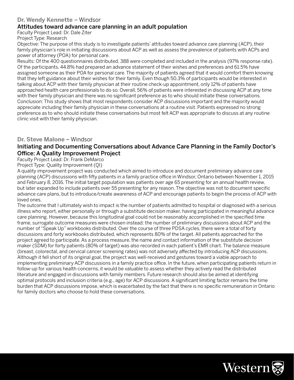#### **Dr. Wendy Kennette** – Windsor

#### Attitudes toward advance care planning in an adult population

Faculty Project Lead: Dr. Dale Ziter

Project Type: Research

Objective: The purpose of this study is to investigate patients' attitudes toward advance care planning (ACP), their family physician's role in initiating discussions about ACP as well as assess the prevalence of patients with ACPs and power of attorney (POA) for personal care.

Results: Of the 400 questionnaires distributed, 388 were completed and included in the analysis (97% response rate). Of the participants, 44.8% had prepared an advance statement of their wishes and preferences and 61.5% have assigned someone as their POA for personal care. The majority of patients agreed that it would comfort them knowing that they left guidance about their wishes for their family. Even though 50.3% of participants would be interested in talking about ACP with their family physician at their routine check-up appointment, only 12% of patients have approached health care professionals to do so. Overall, 56% of patients were interested in discussing ACP at any time with their family physician and there was no significant preference as to who should initiate these conversations. Conclusion: This study shows that most respondents consider ACP discussions important and the majority would appreciate including their family physician in these conversations at a routine visit. Patients expressed no strong preference as to who should initiate these conversations but most felt ACP was appropriate to discuss at any routine clinic visit with their family physician.

#### **Dr. Steve Malone** – Windsor

#### Initiating and Documenting Conversations about Advance Care Planning in the Family Doctor's Office: A Quality Improvement Project

Faculty Project Lead: Dr. Frank DeMarco

Project Type: Quality Improvement (QI)

A quality improvement project was conducted which aimed to introduce and document preliminary advance care planning (ACP) discussions with fifty patients in a family practice office in Windsor, Ontario between November 1, 2015 and February 8, 2016. The initial target population was patients over age 65 presenting for an annual health review, but later expanded to include patients over 55 presenting for any reason. The objective was not to document specific advance care plans, but to introduce/create awareness of ACP and encourage patients to begin the process of ACP with loved ones.

The outcome that I ultimately wish to impact is the number of patients admitted to hospital or diagnosed with a serious illness who report, either personally or through a substitute decision maker, having participated in meaningful advance care planning. However, because this longitudinal goal could not be reasonably accomplished in the specified time frame, surrogate outcome measures were chosen instead: the number of preliminary discussions about ACP and the number of "Speak Up" workbooks distributed. Over the course of three PDSA cycles, there were a total of forty discussions and forty workbooks distributed, which represents 80% of the target. All patients approached for the project agreed to participate. As a process measure, the name and contact information of the substitute decision maker (SDM) for forty patients (80% of target) was also recorded in each patient's EMR chart. The balance measure (breast, colorectal, and cervical cancer screening rates) was not adversely affected by introducing ACP discussions. Although it fell short of its original goal, the project was well-received and gestures toward a viable approach to implementing preliminary ACP discussions in a family practice office. In the future, when participating patients return in follow-up for various health concerns, it would be valuable to assess whether they actively read the distributed literature and engaged in discussions with family members. Future research should also be aimed at identifying optimal protocols and inclusion criteria (e.g., age) for ACP discussions. A significant limiting factor remains the time burden that ACP discussions impose, which is exacerbated by the fact that there is no specific remuneration in Ontario for family doctors who choose to hold these conversations.

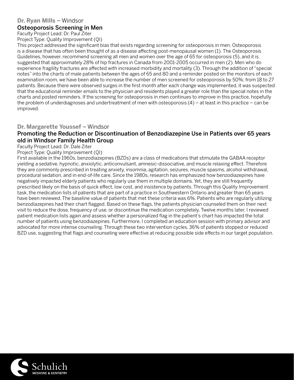## **Dr. Ryan Mills** – Windsor

#### Osteoporosis Screening in Men

Faculty Project Lead: Dr. Paul Ziter Project Type: Quality Improvement (QI)

This project addressed the significant bias that exists regarding screening for osteoporosis in men. Osteoporosis is a disease that has often been thought of as a disease affecting post-menopausal women (1). The Osteoporosis Guidelines, however, recommend screening all men and women over the age of 65 for osteoporosis (5), and it is suggested that approximately 28% of hip fractures in Canada from 2001-2005 occurred in men (2). Men who do experience fragility fractures are affected with increased morbidity and mortality (3). Through the addition of "special notes" into the charts of male patients between the ages of 65 and 80 and a reminder posted on the monitors of each examination room, we have been able to increase the number of men screened for osteoporosis by 50%; from 18 to 27 patients. Because there were observed surges in the first month after each change was implemented, it was suspected that the educational reminder emails to the physician and residents played a greater role than the special notes in the charts and posted reminders. If the screening for osteoporosis in men continues to improve in this practice, hopefully the problem of underdiagnoses and undertreatment of men with osteoporosis (4) – at least in this practice – can be improved.

#### **Dr. Margarette Youssef** – Windsor

#### Promoting the Reduction or Discontinuation of Benzodiazepine Use in Patients over 65 years old in Windsor Family Health Group

Faculty Project Lead: Dr. Dale Ziter

#### Project Type: Quality Improvement (QI)

First available in the 1960s, benzodiazepines (BZDs) are a class of medications that stimulate the GABAA receptor yielding a sedative, hypnotic, anxiolytic, anticonvulsant, amnesic-dissociative, and muscle relaxing effect. Therefore they are commonly prescribed in treating anxiety, insomnia, agitation, seizures, muscle spasms, alcohol withdrawal, procedural sedation, and in end-of-life care. Since the 1980s, research has emphasized how benzodiazepines have negatively impacted elderly patients who regularly use them in multiple domains. Yet, they are still frequently prescribed likely on the basis of quick effect, low cost, and insistence by patients. Through this Quality Improvement task, the medication lists of patients that are part of a practice in Southwestern Ontario and greater than 65 years have been reviewed. The baseline value of patients that met these criteria was 6%. Patients who are regularly utilizing benzodiazepines had their chart flagged. Based on these flags, the patients physician counseled them on their next visit to reduce the dose, frequency of use, or discontinue the medication completely. Twelve months later, I reviewed patient medication lists again and assess whether a personalized flag in the patient's chart has impacted the total number of patients using benzodiazepines. Furthermore, I completed an education session with primary advisor and advocated for more intense counseling. Through these two intervention cycles, 36% of patients stopped or reduced BZD use, suggesting that flags and counseling were effective at reducing possible side effects in our target population.

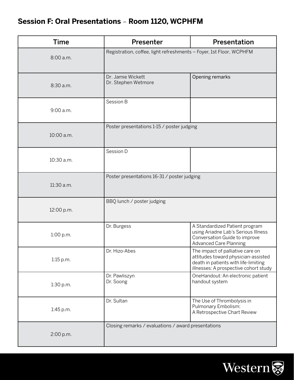# **Session F: Oral Presentations** – **Room 1120, WCPHFM**

| <b>Time</b> | <b>Presenter</b>                                                    | Presentation                                                                                                                                             |
|-------------|---------------------------------------------------------------------|----------------------------------------------------------------------------------------------------------------------------------------------------------|
| 8:00 a.m.   | Registration, coffee, light refreshments - Foyer, 1st Floor, WCPHFM |                                                                                                                                                          |
| 8:30 a.m.   | Dr. Jamie Wickett<br>Dr. Stephen Wetmore                            | Opening remarks                                                                                                                                          |
| 9:00 a.m.   | Session B                                                           |                                                                                                                                                          |
| 10:00 a.m.  | Poster presentations 1-15 / poster judging                          |                                                                                                                                                          |
| 10:30 a.m.  | Session D                                                           |                                                                                                                                                          |
| 11:30 a.m.  | Poster presentations 16-31 / poster judging                         |                                                                                                                                                          |
| 12:00 p.m.  | BBQ lunch / poster judging                                          |                                                                                                                                                          |
| 1:00 p.m.   | Dr. Burgess                                                         | A Standardized Patient program<br>using Ariadne Lab's Serious Illness<br>Conversation Guide to improve<br><b>Advanced Care Planning</b>                  |
| $1:15$ p.m. | Dr. Hizo-Abes                                                       | The impact of palliative care on<br>attitudes toward physician-assisted<br>death in patients with life-limiting<br>illnesses: A prospective cohort study |
| 1:30 p.m.   | Dr. Pawliszyn<br>Dr. Soong                                          | OneHandout: An electronic patient<br>handout system                                                                                                      |
| 1:45 p.m.   | Dr. Sultan                                                          | The Use of Thrombolysis in<br>Pulmonary Embolism:<br>A Retrospective Chart Review                                                                        |
| 2:00 p.m.   | Closing remarks / evaluations / award presentations                 |                                                                                                                                                          |

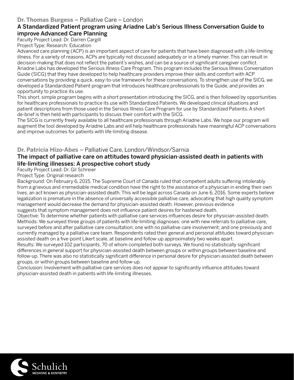#### **Dr. Thomas Burgess** – Palliative Care – London

#### A Standardized Patient program using Ariadne Lab's Serious Illness Conversation Guide to improve Advanced Care Planning

Faculty Project Lead: Dr. Darren Cargill

Project Type: Research: Education

Advanced care planning (ACP) is an important aspect of care for patients that have been diagnosed with a life-limiting illness. For a variety of reasons, ACPs are typically not discussed adequately or in a timely manner. This can result in decision-making that does not reflect the patient's wishes, and can be a source of significant caregiver conflict. Ariadne Labs has developed the Serious Illness Care Program. This program includes the Serious Illness Conversation Guide (SICG) that they have developed to help healthcare providers improve their skills and comfort with ACP conversations by providing a quick, easy-to-use framework for these conversations. To strengthen use of the SICG, we developed a Standardized Patient program that introduces healthcare professionals to the Guide, and provides an opportunity to practice its use.

This short, simple program begins with a short presentation introducing the SICG, and is then followed by opportunities for healthcare professionals to practice its use with Standardized Patients. We developed clinical situations and patient descriptions from those used in the Serious Illness Care Program for use by Standardized Patients. A short de-brief is then held with participants to discuss their comfort with the SICG.

The SICG is currently freely available to all healthcare professionals through Ariadne Labs. We hope our program will augment the tool developed by Ariadne Labs and will help healthcare professionals have meaningful ACP conversations and improve outcomes for patients with life-limiting disease.

#### **Dr. Patricia Hizo-Abes** – Palliative Care, London/Windsor/Sarnia

#### The impact of palliative care on attitudes toward physician-assisted death in patients with life-limiting illnesses: A prospective cohort study

#### Faculty Project Lead: Dr. Gil Schreier

#### Project Type: Original research

Background: On February 6, 2015, The Supreme Court of Canada ruled that competent adults suffering intolerably from a grievous and irremediable medical condition have the right to the assistance of a physician in ending their own lives, an act known as physician-assisted death. This will be legal across Canada on June 6, 2016. Some experts believe legalization is premature in the absence of universally accessible palliative care, advocating that high quality symptom management would decrease the demand for physician-assisted death. However, previous evidence suggests that symptom management does not influence patient desires for hastened death.

Objective: To determine whether patients with palliative care services influences desire for physician-assisted death. Methods: We surveyed three groups of patients with life-limiting diagnoses: one with new referrals to palliative care, surveyed before and after palliative care consultation; one with no palliative care involvement; and one previously and currently managed by a palliative care team. Respondents rated their general and personal attitudes toward physicianassisted death on a five-point Likert scale, at baseline and follow-up approximately two weeks apart.

Results: We surveyed 102 participants, 70 of whom completed both surveys. We found no statistically significant differences in general support for physician-assisted death between groups or within groups between baseline and follow-up. There was also no statistically significant difference in personal desire for physician-assisted death between groups, or within groups between baseline and follow-up.

Conclusion: Involvement with palliative care services does not appear to significantly influence attitudes toward physician-assisted death in patients with life-limiting illnesses.

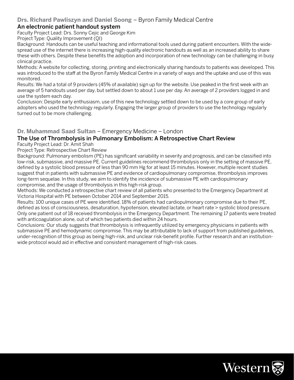#### **Drs. Richard Pawliszyn and Daniel Soong** – Byron Family Medical Centre

#### An electronic patient handout system

Faculty Project Lead: Drs. Sonny Cejic and George Kim

Project Type: Quality Improvement (QI)

Background: Handouts can be useful teaching and informational tools used during patient encounters. With the widespread use of the internet there is increasing high-quality electronic handouts as well as an increased ability to share these with others. Despite these benefits the adoption and incorporation of new technology can be challenging in busy clinical practice.

Methods: A website for collecting, storing, printing and electronically sharing handouts to patients was developed. This was introduced to the staff at the Byron Family Medical Centre in a variety of ways and the uptake and use of this was monitored.

Results: We had a total of 9 providers (45% of available) sign up for the website. Use peaked in the first week with an average of 5 handouts used per day, but settled down to about 1 use per day. An average of 2 providers logged in and use the system each day.

Conclusion: Despite early enthusiasm, use of this new technology settled down to be used by a core group of early adopters who used the technology regularly. Engaging the larger group of providers to use the technology regularly turned out to be more challenging.

#### **Dr. Muhammad Saad Sultan** – Emergency Medicine – London

#### The Use of Thrombolysis in Pulmonary Embolism: A Retrospective Chart Review

Faculty Project Lead: Dr. Amit Shah

Project Type: Retrospective Chart Review

Background: Pulmonary embolism (PE) has significant variability in severity and prognosis, and can be classified into low-risk, submassive, and massive PE. Current guidelines recommend thrombolysis only in the setting of massive PE, defined by a systolic blood pressure of less than 90 mm Hg for at least 15 minutes. However, multiple recent studies suggest that in patients with submassive PE and evidence of cardiopulmonary compromise, thrombolysis improves long-term sequelae. In this study, we aim to identify the incidence of submassive PE with cardiopulmonary compromise, and the usage of thrombolysis in this high-risk group.

Methods: We conducted a retrospective chart review of all patients who presented to the Emergency Department at Victoria Hospital with PE between October 2014 and September 2015.

Results: 100 unique cases of PE were identified. 18% of patients had cardiopulmonary compromise due to their PE, defined as loss of consciousness, desaturation, hypotension, elevated lactate, or heart rate > systolic blood pressure. Only one patient out of 18 received thrombolysis in the Emergency Department. The remaining 17 patients were treated with anticoagulation alone, out of which two patients died within 24 hours.

Conclusions: Our study suggests that thrombolysis is infrequently utilized by emergency physicians in patients with submassive PE and hemodynamic compromise. This may be attributable to lack of support from published guidelines, under-recognition of this group as being high-risk, and unclear risk-benefit profile. Further research and an institutionwide protocol would aid in effective and consistent management of high-risk cases.

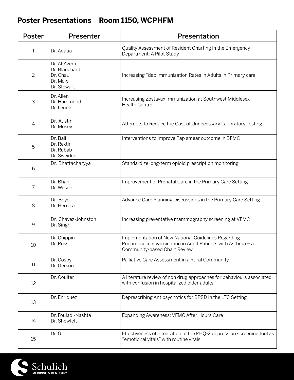# **Poster Presentations** – **Room 1150, WCPHFM**

| Poster         | Presenter                                                           | Presentation                                                                                                                                      |
|----------------|---------------------------------------------------------------------|---------------------------------------------------------------------------------------------------------------------------------------------------|
| 1              | Dr. Adatia                                                          | Quality Assessment of Resident Charting in the Emergency<br>Department: A Pilot Study                                                             |
| $\overline{c}$ | Dr. Al-Azem<br>Dr. Blanchard<br>Dr. Chau<br>Dr. Malo<br>Dr. Stewart | Increasing Tdap Immunization Rates in Adults in Primary care                                                                                      |
| 3              | Dr. Allen<br>Dr. Hammond<br>Dr. Leung                               | Increasing Zostavax Immunization at Southwest Middlesex<br><b>Health Centre</b>                                                                   |
| $\overline{4}$ | Dr. Austin<br>Dr. Mosey                                             | Attempts to Reduce the Cost of Unnecessary Laboratory Testing                                                                                     |
| 5              | Dr. Bali<br>Dr. Rextin<br>Dr. Rubab<br>Dr. Sweiden                  | Interventions to improve Pap smear outcome in BFMC                                                                                                |
| 6              | Dr. Bhattacharyya                                                   | Standardize long-term opioid prescription monitoring                                                                                              |
| 7              | Dr. Bhanji<br>Dr. Wilson                                            | Improvement of Prenatal Care in the Primary Care Setting                                                                                          |
| 8              | Dr. Boyd<br>Dr. Herrera                                             | Advance Care Planning Discussions in the Primary Care Setting                                                                                     |
| 9              | Dr. Chavez-Johnston<br>Dr. Singh                                    | Increasing preventative mammography screening at VFMC                                                                                             |
| 10             | Dr. Chippin<br>Dr. Ross                                             | Implementation of New National Guidelines Regarding<br>Pneumococcal Vaccination in Adult Patients with Asthma - a<br>Community-based Chart Review |
| 11             | Dr. Cosby<br>Dr. Gerson                                             | Palliative Care Assessment in a Rural Community                                                                                                   |
| 12             | Dr. Coulter                                                         | A literature review of non drug approaches for behaviours associated<br>with confusion in hospitalized older adults                               |
| 13             | Dr. Enriquez                                                        | Deprescribing Antipsychotics for BPSD in the LTC Setting                                                                                          |
| 14             | Dr. Fouladi-Nashta<br>Dr. Shewfelt                                  | Expanding Awareness: VFMC After Hours Care                                                                                                        |
| 15             | Dr. Gill                                                            | Effectiveness of integration of the PHQ-2 depression screening tool as<br>"emotional vitals" with routine vitals                                  |

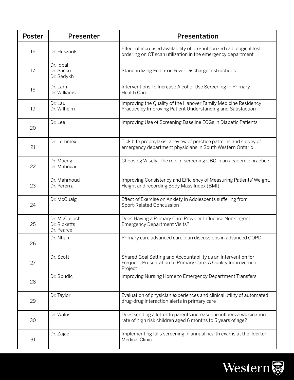| <b>Poster</b> | <b>Presenter</b>                            | <b>Presentation</b>                                                                                                                      |
|---------------|---------------------------------------------|------------------------------------------------------------------------------------------------------------------------------------------|
| 16            | Dr. Huszarik                                | Effect of increased availability of pre-authorized radiological test<br>ordering on CT scan utilization in the emergency department      |
| 17            | Dr. Iqbal<br>Dr. Sacco<br>Dr. Sedykh        | Standardizing Pediatric Fever Discharge Instructions                                                                                     |
| 18            | Dr. Lam<br>Dr. Williams                     | Interventions To Increase Alcohol Use Screening In Primary<br><b>Health Care</b>                                                         |
| 19            | Dr. Lau<br>Dr. Wilhelm                      | Improving the Quality of the Hanover Family Medicine Residency<br>Practice by Improving Patient Understanding and Satisfaction           |
| 20            | Dr. Lee                                     | Improving Use of Screening Baseline ECGs in Diabetic Patients                                                                            |
| 21            | Dr. Lemmex                                  | Tick bite prophylaxis: a review of practice patterns and survey of<br>emergency department physicians in South Western Ontario           |
| 22            | Dr. Maeng<br>Dr. Mahngar                    | Choosing Wisely: The role of screening CBC in an academic practice                                                                       |
| 23            | Dr. Mahmoud<br>Dr. Pererra                  | Improving Consistency and Efficiency of Measuring Patients' Weight,<br>Height and recording Body Mass Index (BMI)                        |
| 24            | Dr. McCuaig                                 | Effect of Exercise on Anxiety in Adolescents suffering from<br>Sport-Related Concussion                                                  |
| 25            | Dr. McCulloch<br>Dr. Ricketts<br>Dr. Pearce | Does Having a Primary Care Provider Influence Non-Urgent<br><b>Emergency Department Visits?</b>                                          |
| 26            | Dr. Nhan                                    | Primary care advanced care plan discussions in advanced COPD                                                                             |
| 27            | Dr. Scott                                   | Shared Goal Setting and Accountability as an Intervention for<br>Frequent Presentation to Primary Care: A Quality Improvement<br>Project |
| 28            | Dr. Spudic                                  | Improving Nursing Home to Emergency Department Transfers                                                                                 |
| 29            | Dr. Taylor                                  | Evaluation of physician experiences and clinical utility of automated<br>drug-drug interaction alerts in primary care                    |
| 30            | Dr. Walus                                   | Does sending a letter to parents increase the influenza vaccination<br>rate of high risk children aged 6 months to 5 years of age?       |
| 31            | Dr. Zajac                                   | Implementing falls screening in annual health exams at the Ilderton<br><b>Medical Clinic</b>                                             |

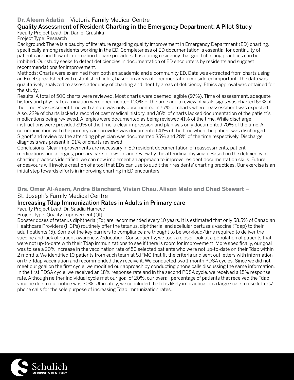#### **Dr. Aleem Adatia** – Victoria Family Medical Centre

#### Quality Assessment of Resident Charting in the Emergency Department: A Pilot Study

Faculty Project Lead: Dr. Daniel Grushka

Project Type: Research

Background: There is a paucity of literature regarding quality improvement in Emergency Department (ED) charting, specifically among residents working in the ED. Completeness of ED documentation is essential for continuity of patient care and flow of information to care providers. It is during residency that good charting practices can be imbibed. Our study seeks to detect deficiencies in documentation of ED encounters by residents and suggest recommendations for improvement.

Methods: Charts were examined from both an academic and a community ED. Data was extracted from charts using an Excel spreadsheet with established fields, based on areas of documentation considered important. The data was qualitatively analyzed to assess adequacy of charting and identify areas of deficiency. Ethics approval was obtained for the study.

Results: A total of 500 charts were reviewed. Most charts were deemed legible (97%). Time of assessment, adequate history and physical examination were documented 100% of the time and a review of vitals signs was charted 69% of the time. Reassessment time with a note was only documented in 57% of charts where reassessment was expected. Also, 22% of charts lacked a record of past medical history, and 36% of charts lacked documentation of the patient's medications being reviewed. Allergies were documented as being reviewed 41% of the time. While discharge instructions were provided 89% of the time, a clear impression and plan was only documented 70% of the time. A communication with the primary care provider was documented 41% of the time when the patient was discharged. Signoff and review by the attending physician was documented 35% and 28% of the time respectively. Discharge diagnosis was present in 91% of charts reviewed.

Conclusions: Clear improvements are necessary in ED resident documentation of reassessments, patient medications and allergies, primary care follow-up, and review by the attending physician. Based on the deficiency in charting practices identified, we can now implement an approach to improve resident documentation skills. Future endeavours will involve creation of a tool that EDs can use to audit their residents' charting practices. Our exercise is an initial step towards efforts in improving charting in ED encounters.

**Drs. Omar Al-Azem, Andre Blanchard, Vivian Chau, Alison Malo and Chad Stewart** – St. Joseph's Family Medical Centre

#### Increasing Tdap Immunization Rates in Adults in Primary care

Faculty Project Lead: Dr. Saadia Hameed

Project Type: Quality Improvement (QI)

Booster doses of tetanus diphtheria (Td) are recommended every 10 years. It is estimated that only 58.5% of Canadian Healthcare Providers (HCPs) routinely offer the tetanus, diphtheria, and acellular pertussis vaccine (Tdap) to their adult patients (5). Some of the key barriers to compliance are thought to be workload/time required to deliver the vaccine and lack of patient awareness/education. Consequently, we took a closer look at a population of patients that were not up-to-date with their Tdap immunizations to see if there is room for improvement. More specifically, our goal was to see a 20% increase in the vaccination rate of 50 selected patients who were not up-to-date on their Tdap within 2 months. We identified 10 patients from each team at SJFMC that fit the criteria and sent out letters with information on the Tdap vaccination and recommended they receive it. We conducted two 1-month PDSA cycles. Since we did not meet our goal on the first cycle, we modified our approach by conducting phone calls discussing the same information. In the first PDSA cycle, we received an 18% response rate and in the second PDSA cycle, we received a 15% response rate. Although neither individual cycle met our goal of 20%, our overall percentage of patients that received the Tdap vaccine due to our notice was 30%. Ultimately, we concluded that it is likely impractical on a large scale to use letters/ phone calls for the sole purpose of increasing Tdap immunization rates.

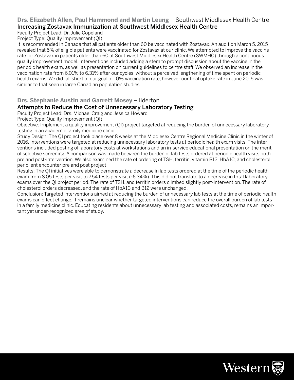#### **Drs. Elizabeth Allen, Paul Hammond and Martin Leung** – Southwest Middlesex Health Centre Increasing Zostavax Immunization at Southwest Middlesex Health Centre

Faculty Project Lead: Dr. Julie Copeland

Project Type: Quality Improvement (QI)

It is recommended in Canada that all patients older than 60 be vaccinated with Zostavax. An audit on March 5, 2015 revealed that 5% of eligible patients were vaccinated for Zostavax at our clinic. We attempted to improve the vaccine rate for Zostavax in patients older than 60 at Southwest Middlesex Health Centre (SWMHC) through a continuous quality improvement model. Interventions included adding a stem to prompt discussion about the vaccine in the periodic health exam, as well as presentation on current guidelines to centre staff. We observed an increase in the vaccination rate from 6.01% to 6.31% after our cycles, without a perceived lengthening of time spent on periodic health exams. We did fall short of our goal of 10% vaccination rate, however our final uptake rate in June 2015 was similar to that seen in large Canadian population studies.

#### **Drs. Stephanie Austin and Garrett Mosey** – Ilderton

#### Attempts to Reduce the Cost of Unnecessary Laboratory Testing

Faculty Project Lead: Drs. Michael Craig and Jessica Howard

Project Type: Quality Improvement (QI)

Objective: Implement a quality improvement (QI) project targeted at reducing the burden of unnecessary laboratory testing in an academic family medicine clinic.

Study Design: The QI project took place over 8 weeks at the Middlesex Centre Regional Medicine Clinic in the winter of 2016. Interventions were targeted at reducing unnecessary laboratory tests at periodic health exam visits. The interventions included posting of laboratory costs at workstations and an in-service educational presentation on the merit of selective screening. A comparison was made between the burden of lab tests ordered at periodic health visits both pre and post-intervention. We also examined the rate of ordering of TSH, ferritin, vitamin B12, HbA1C, and cholesterol per client encounter pre and post project.

Results: The QI initiatives were able to demonstrate a decrease in lab tests ordered at the time of the periodic health exam from 8.05 tests per visit to 7.54 tests per visit (-6.34%). This did not translate to a decrease in total laboratory exams over the QI project period. The rate of TSH, and ferritin orders climbed slightly post-intervention. The rate of cholesterol orders decreased, and the rate of HbA1C and B12 were unchanged.

Conclusion: Targeted interventions aimed at reducing the burden of unnecessary lab tests at the time of periodic health exams can effect change. It remains unclear whether targeted interventions can reduce the overall burden of lab tests in a family medicine clinic. Educating residents about unnecessary lab testing and associated costs, remains an important yet under-recognized area of study.

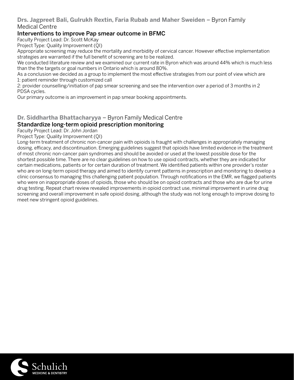#### **Drs. Jagpreet Bali, Gulrukh Rextin, Faria Rubab and Maher Sweiden** – Byron Family Medical Centre

#### Interventions to improve Pap smear outcome in BFMC

Faculty Project Lead: Dr. Scott McKay

Project Type: Quality Improvement (QI)

Appropriate screening may reduce the mortality and morbidity of cervical cancer. However effective implementation strategies are warranted if the full benefit of screening are to be realized.

We conducted literature review and we examined our current rate in Byron which was around 44% which is much less than the the targets or goal numbers in Ontario which is around 80%.

As a conclusion we decided as a group to implement the most effective strategies from our point of view which are 1: patient reminder through customized call

2: provider counselling/initiation of pap smear screening and see the intervention over a period of 3 months in 2 PDSA cycles.

Our primary outcome is an improvement in pap smear booking appointments.

#### **Dr. Siddhartha Bhattacharyya** – Byron Family Medical Centre

#### Standardize long-term opioid prescription monitoring

Faculty Project Lead: Dr. John Jordan

Project Type: Quality Improvement (QI)

Long-term treatment of chronic non-cancer pain with opioids is fraught with challenges in appropriately managing dosing, efficacy, and discontinuation. Emerging guidelines suggest that opioids have limited evidence in the treatment of most chronic non-cancer pain syndromes and should be avoided or used at the lowest possible dose for the shortest possible time. There are no clear guidelines on how to use opioid contracts, whether they are indicated for certain medications, patients or for certain duration of treatment. We identified patients within one provider's roster who are on long-term opioid therapy and aimed to identify current patterns in prescription and monitoring to develop a clinic consensus to managing this challenging patient population. Through notifications in the EMR, we flagged patients who were on inappropriate doses of opioids, those who should be on opioid contracts and those who are due for urine drug testing. Repeat chart review revealed improvements in opioid contract use, minimal improvement in urine drug screening and overall improvement in safe opioid dosing, although the study was not long enough to improve dosing to meet new stringent opioid guidelines.

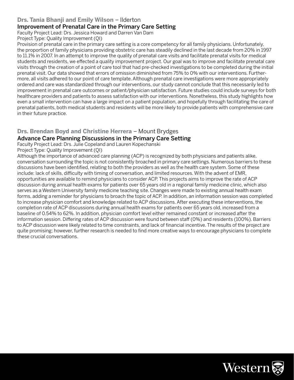#### **Drs. Tania Bhanji and Emily Wilson** – Ilderton

#### Improvement of Prenatal Care in the Primary Care Setting

Faculty Project Lead: Drs. Jessica Howard and Darren Van Dam

Project Type: Quality Improvement (QI)

Provision of prenatal care in the primary care setting is a core competency for all family physicians. Unfortunately, the proportion of family physicians providing obstetric care has steadily declined in the last decade from 20% in 1997 to 11.1% in 2007. In an attempt to improve the quality of prenatal care visits and facilitate prenatal visits for medical students and residents, we effected a quality improvement project. Our goal was to improve and facilitate prenatal care visits through the creation of a point of care tool that had pre-checked investigations to be completed during the initial prenatal visit. Our data showed that errors of omission diminished from 75% to 0% with our interventions. Furthermore, all visits adhered to our point of care template. Although prenatal care investigations were more appropriately ordered and care was standardized through our interventions, our study cannot conclude that this necessarily led to improvement in prenatal care outcomes or patient/physician satisfaction. Future studies could include surveys for both healthcare providers and patients to assess satisfaction with our interventions. Nonetheless, this study highlights how even a small intervention can have a large impact on a patient population, and hopefully through facilitating the care of prenatal patients, both medical students and residents will be more likely to provide patients with comprehensive care in their future practice.

#### **Drs. Brendan Boyd and Christine Herrera** – Mount Brydges Advance Care Planning Discussions in the Primary Care Setting

Faculty Project Lead: Drs. Julie Copeland and Lauren Kopechanski

Project Type: Quality Improvement (QI)

Although the importance of advanced care planning (ACP) is recognized by both physicians and patients alike, conversation surrounding the topic is not consistently broached in primary care settings. Numerous barriers to these discussions have been identified, relating to both the providers as well as the health care system. Some of these include: lack of skills, difficulty with timing of conversation, and limited resources. With the advent of EMR, opportunities are available to remind physicians to consider ACP. This projects aims to improve the rate of ACP discussion during annual health exams for patients over 65 years old in a regional family medicine clinic, which also serves as a Western University family medicine teaching site. Changes were made to existing annual health exam forms, adding a reminder for physicians to broach the topic of ACP. In addition, an information session was completed to increase physician comfort and knowledge related to ACP discussions. After executing these interventions, the completion rate of ACP discussions during annual health exams for patients over 65 years old, increased from a baseline of 0.54% to 62%. In addition, physician comfort level either remained constant or increased after the information session. Differing rates of ACP discussion were found between staff (0%) and residents (100%). Barriers to ACP discussion were likely related to time constraints, and lack of financial incentive. The results of the project are quite promising; however, further research is needed to find more creative ways to encourage physicians to complete these crucial conversations.

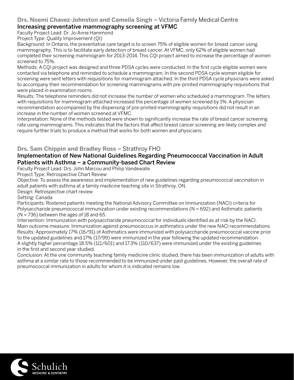## **Drs. Noemi Chavez-Johnston and Cameila Singh** – Victoria Family Medical Centre

#### Increasing preventative mammography screening at VFMC

Faculty Project Lead: Dr. Jo-Anne Hammond

Project Type: Quality Improvement (QI)

Background: In Ontario, the preventative care target is to screen 75% of eligible women for breast cancer using mammography. This is to facilitate early detection of breast cancer. At VFMC, only 62% of eligible women had completed their screening mammogram for 2013-2014. This CQI project aimed to increase the percentage of women screened to 75%.

Methods: A CQI project was designed and three PDSA cycles were conducted. In the first cycle eligible women were contacted via telephone and reminded to schedule a mammogram. In the second PDSA cycle women eligible for screening were sent letters with requisitions for mammogram attached. In the third PDSA cycle physicians were asked to accompany their recommendation for screening mammograms with pre-printed mammography requisitions that were placed in examination rooms.

Results: The telephone reminders did not increase the number of women who scheduled a mammogram. The letters with requisitions for mammogram attached increased the percentage of women screened by 1%. A physician recommendation accompanied by the dispensing of pre-printed mammography requisitions did not result in an increase in the number of women screened at VFMC.

Interpretation: None of the methods tested were shown to significantly increase the rate of breast cancer screening rate using mammograms. This indicates that the factors that affect breast cancer screening are likely complex and require further trials to produce a method that works for both women and physicians.

#### **Drs. Sam Chippin and Bradley Ross** – Strathroy FHO

#### Implementation of New National Guidelines Regarding Pneumococcal Vaccination in Adult Patients with Asthma – a Community-based Chart Review

Faculty Project Lead: Drs. John Marcou and Philip Vandewalle

Project Type: Retrospective Chart Review

Objective: To assess the awareness and implementation of new guidelines regarding pneumococcal vaccination in adult patients with asthma at a family medicine teaching site in Strathroy, ON.

Design: Retrospective chart review

Setting: Canada

Participants: Rostered patients meeting the National Advisory Committee on Immunization (NACI) criteria for Polysaccharide pneumococcal immunization under existing recommendations (N = 692) and Asthmatic patients  $(N = 736)$  between the ages of 18 and 65.

Intervention: Immunization with polysaccharide pneumococcal for individuals identified as at risk by the NACI. Main outcome measure: Immunization against pneumococcus in asthmatics under the new NACI recommendations Results: Approximately 17% (16/91) of Asthmatics were immunized with polysaccharide pneumococcal vaccine prior to the updated guidelines and 17% (17/99) were immunized in the year following the updated recommendation. A slightly higher percentage 18.5% (111/601) and 17.3% (110/637) were immunized under the existing guidelines in the first and second year studied.

Conclusion: At the one community teaching family medicine clinic studied, there has been immunization of adults with asthma at a similar rate to those recommended to be immunized under past guidelines. However, the overall rate of pneumococcal immunization in adults for whom it is indicated remains low.

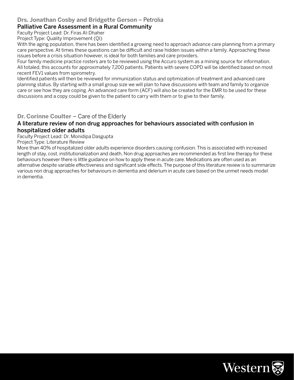#### **Drs. Jonathan Cosby and Bridgette Gerson** – Petrolia

#### Palliative Care Assessment in a Rural Community

Faculty Project Lead: Dr. Firas Al-Dhaher

Project Type: Quality Improvement (QI)

With the aging population, there has been identified a growing need to approach advance care planning from a primary care perspective. At times these questions can be difficult and raise hidden issues within a family. Approaching these issues before a crisis situation however, is ideal for both families and care providers.

Four family medicine practice rosters are to be reviewed using the Accuro system as a mining source for information. All totaled, this accounts for approximately 7,200 patients. Patients with severe COPD will be identified based on most recent FEV1 values from spirometry.

Identified patients will then be reviewed for immunization status and optimization of treatment and advanced care planning status. By starting with a small group size we will plan to have discussions with team and family to organize care or see how they are coping. An advanced care form (ACF) will also be created for the EMR to be used for these discussions and a copy could be given to the patient to carry with them or to give to their family.

#### **Dr. Corinne Coulter** – Care of the Elderly

#### A literature review of non drug approaches for behaviours associated with confusion in hospitalized older adults

Faculty Project Lead: Dr. Monidipa Dasgupta

Project Type: Literature Review

More than 40% of hospitalized older adults experience disorders causing confusion. This is associated with increased length of stay, cost, institutionalization and death. Non drug approaches are recommended as first line therapy for these behaviours however there is little guidance on how to apply these in acute care. Medications are often used as an alternative despite variable effectiveness and significant side effects. The purpose of this literature review is to summarize various non drug approaches for behaviours in dementia and delerium in acute care based on the unmet needs model in dementia.

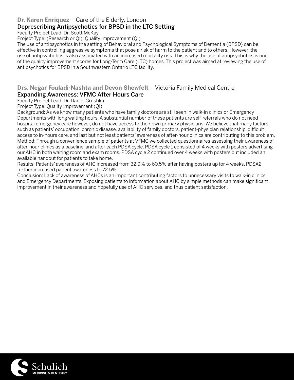#### **Dr. Karen Enriquez** – Care of the Elderly, London

#### Deprescribing Antipsychotics for BPSD in the LTC Setting

Faculty Project Lead: Dr. Scott McKay

Project Type: (Research or QI): Quality Improvement (QI)

The use of antipsychotics in the setting of Behavioral and Psychological Symptoms of Dementia (BPSD) can be effective in controlling aggressive symptoms that pose a risk of harm to the patient and to others. However, the use of antipsychotics is also associated with an increased mortality risk. This is why the use of antipsychotics is one of the quality improvement scores for Long-Term Care (LTC) homes. This project was aimed at reviewing the use of antipsychotics for BPSD in a Southwestern Ontario LTC facility.

#### **Drs. Negar Fouladi-Nashta and Devon Shewfelt** – Victoria Family Medical Centre Expanding Awareness: VFMC After Hours Care

## Faculty Project Lead: Dr. Daniel Grushka

Project Type: Quality Improvement (QI)

Background: As we know many patients who have family doctors are still seen in walk-in clinics or Emergency Departments with long waiting hours. A substantial number of these patients are self-referrals who do not need hospital emergency care however, do not have access to their own primary physicians. We believe that many factors such as patients' occupation, chronic disease, availability of family doctors, patient-physician relationship, difficult access to in-hours care, and last but not least patients' awareness of after-hour clinics are contributing to this problem. Method: Through a convenience sample of patients at VFMC we collected questionnaires assessing their awareness of after-hour clinics as a baseline, and after each PDSA cycle. PDSA cycle 1 consisted of 4 weeks with posters advertising our AHC in both waiting room and exam rooms. PDSA cycle 2 continued over 4 weeks with posters but included an available handout for patients to take home.

Results: Patients' awareness of AHC increased from 32.9% to 60.5% after having posters up for 4 weeks. PDSA2 further increased patient awareness to 72.5%.

Conclusion: Lack of awareness of AHCs is an important contributing factors to unnecessary visits to walk-in clinics and Emergency Departments. Exposing patients to information about AHC by simple methods can make significant improvement in their awareness and hopefully use of AHC services, and thus patient satisfaction.

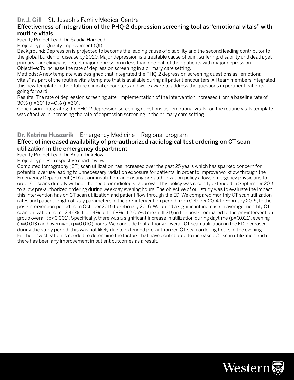#### **Dr. J. Gill** – St. Joseph's Family Medical Centre

#### Effectiveness of integration of the PHQ-2 depression screening tool as "emotional vitals" with routine vitals

Faculty Project Lead: Dr. Saadia Hameed

Project Type: Quality Improvement (QI)

Background: Depression is projected to become the leading cause of disability and the second leading contributor to the global burden of disease by 2020. Major depression is a treatable cause of pain, suffering, disability and death, yet primary care clinicians detect major depression in less than one-half of their patients with major depression. Objective: To increase the rate of depression screening in a primary care setting.

Methods: A new template was designed that integrated the PHQ-2 depression screening questions as "emotional vitals" as part of the routine vitals template that is available during all patient encounters. All team members integrated this new template in their future clinical encounters and were aware to address the questions in pertinent patients going forward.

Results: The rate of depression screening after implementation of the intervention increased from a baseline rate of 30% (n=30) to 40% (n=30).

Conclusion: Integrating the PHQ-2 depression screening questions as "emotional vitals" on the routine vitals template was effective in increasing the rate of depression screening in the primary care setting.

#### **Dr. Katrina Huszarik** – Emergency Medicine – Regional program

#### Effect of increased availability of pre-authorized radiological test ordering on CT scan utilization in the emergency department

Faculty Project Lead: Dr. Adam Dukelow

Project Type: Retrospective chart review

Computed tomography (CT) scan utilization has increased over the past 25 years which has sparked concern for potential overuse leading to unnecessary radiation exposure for patients. In order to improve workflow through the Emergency Department (ED) at our institution, an existing pre-authorization policy allows emergency physicians to order CT scans directly without the need for radiologist approval. This policy was recently extended in September 2015 to allow pre-authorized ordering during weekday evening hours. The objective of our study was to evaluate the impact this intervention has on CT scan utilization and patient flow through the ED. We compared monthly CT scan utilization rates and patient length of stay parameters in the pre-intervention period from October 2014 to February 2015, to the post-intervention period from October 2015 to February 2016. We found a significant increase in average monthly CT scan utilization from 12.46% ffl 0.54% to 15.68% ffl 2.05% (mean ffl SD) in the post- compared to the pre-intervention group overall (p<0.001). Specifically, there was a significant increase in utilization during daytime (p=0.021), evening (p=0.013) and overnight (p=0.010) hours. We conclude that although overall CT scan utilization in the ED increased during the study period, this was not likely due to extended pre-authorized CT scan ordering hours in the evening. Further investigation is needed to determine the factors that have contributed to increased CT scan utilization and if there has been any improvement in patient outcomes as a result.

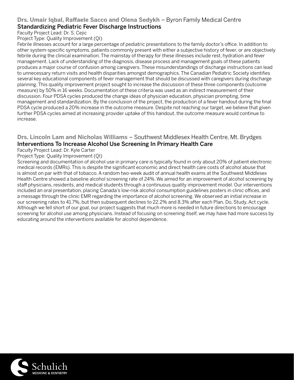#### **Drs. Umair Iqbal, Raffaele Sacco and Olena Sedykh** – Byron Family Medical Centre Standardizing Pediatric Fever Discharge Instructions

Faculty Project Lead: Dr. S. Cejic

Project Type: Quality Improvement (QI)

Febrile illnesses account for a large percentage of pediatric presentations to the family doctor's office. In addition to other system-specific symptoms, patients commonly present with either a subjective history of fever, or are objectively febrile during the clinical examination. The mainstay of therapy for these illnesses include rest, hydration and fever management. Lack of understanding of the diagnosis, disease process and management goals of these patients produces a major course of confusion among caregivers. These misunderstandings of discharge instructions can lead to unnecessary return visits and health disparities amongst demographics. The Canadian Pediatric Society identifies several key educational components of fever management that should be discussed with caregivers during discharge planning. This quality improvement project sought to increase the discussion of these three components (outcome measure) by 50% in 16 weeks. Documentation of these criteria was used as an indirect measurement of their discussion. Four PDSA cycles produced the change ideas of physician education, physician prompting, time management and standardization. By the conclusion of the project, the production of a fever handout during the final PDSA cycle produced a 20% increase in the outcome measure. Despite not reaching our target, we believe that given further PDSA cycles aimed at increasing provider uptake of this handout, the outcome measure would continue to increase.

#### **Drs. Lincoln Lam and Nicholas Williams** – Southwest Middlesex Health Centre, Mt. Brydges Interventions To Increase Alcohol Use Screening In Primary Health Care

Faculty Project Lead: Dr. Kyle Carter

Project Type: Quality Improvement (QI)

Screening and documentation of alcohol use in primary care is typically found in only about 20% of patient electronic medical records (EMRs). This is despite the significant economic and direct health care costs of alcohol abuse that is almost on par with that of tobacco. A random two-week audit of annual health exams at the Southwest Middlesex Health Centre showed a baseline alcohol screening rate of 24%. We aimed for an improvement of alcohol screening by staff physicians, residents, and medical students through a continuous quality improvement model. Our interventions included an oral presentation, placing Canada's low-risk alcohol consumption guidelines posters in clinic offices, and a message through the clinic EMR regarding the importance of alcohol screening. We observed an initial increase in our screening rates to 41.7%, but then subsequent declines to 22.2% and 8.3% after each Plan, Do, Study, Act cycle. Although we fell short of our goal, our project suggests that much more is needed in future directions to encourage screening for alcohol use among physicians. Instead of focusing on screening itself, we may have had more success by educating around the interventions available for alcohol dependence.

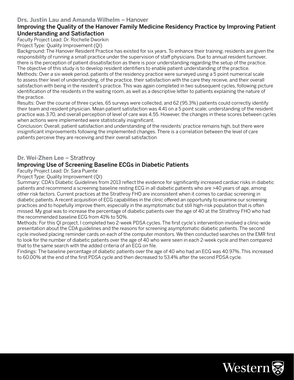#### **Drs. Justin Lau and Amanda Wilhelm** – Hanover

#### Improving the Quality of the Hanover Family Medicine Residency Practice by Improving Patient Understanding and Satisfaction

Faculty Project Lead: Dr. Rochelle Dworkin

Project Type: Quality Improvement (QI)

Background: The Hanover Resident Practice has existed for six years. To enhance their training, residents are given the responsibility of running a small practice under the supervision of staff physicians. Due to annual resident turnover, there is the perception of patient dissatisfaction as there is poor understanding regarding the setup of the practice. The objective of this study is to develop resident identifiers to enable patient understanding of the practice. Methods: Over a six-week period, patients of the residency practice were surveyed using a 5 point numerical scale to assess their level of understanding, of the practice, their satisfaction with the care they receive, and their overall

satisfaction with being in the resident's practice. This was again completed in two subsequent cycles, following picture identification of the residents in the waiting room, as well as a descriptive letter to patients explaining the nature of the practice.

Results: Over the course of three cycles, 65 surveys were collected, and 62 (95.3%) patients could correctly identify their team and resident physician. Mean patient satisfaction was 4.41 on a 5 point scale; understanding of the resident practice was 3.70, and overall perception of level of care was 4.55. However, the changes in these scores between cycles when actions were implemented were statistically insignificant.

Conclusion: Overall, patient satisfaction and understanding of the residents' practice remains high, but there were insignificant improvements following the implemented changes. There is a correlation between the level of care patients perceive they are receiving and their overall satisfaction

#### **Dr. Wei-Zhen Lee** – Strathroy

#### Improving Use of Screening Baseline ECGs in Diabetic Patients

Faculty Project Lead: Dr. Sara Puente

Project Type: Quality Improvement (QI)

Summary: CDA's Diabetic Guidelines from 2013 reflect the evidence for significantly increased cardiac risks in diabetic patients and recommend a screening baseline resting ECG in all diabetic patients who are >40 years of age, among other risk factors. Current practices at the Strathroy FHO are inconsistent when it comes to cardiac screening in diabetic patients. A recent acquisition of ECG capabilities in the clinic offered an opportunity to examine our screening practices and to hopefully improve them, especially in the asymptomatic but still high-risk population that is often missed. My goal was to increase the percentage of diabetic patients over the age of 40 at the Strathroy FHO who had the recommended baseline ECG from 41% to 50%.

Methods: For this QI project, I completed two 2-week PDSA cycles. The first cycle's intervention involved a clinic-wide presentation about the CDA guidelines and the reasons for screening asymptomatic diabetic patients. The second cycle involved placing reminder cards on each of the computer monitors. We then conducted searches on the EMR first to look for the number of diabetic patients over the age of 40 who were seen in each 2-week cycle and then compared that to the same search with the added criteria of an ECG on file.

Findings: The baseline percentage of diabetic patients over the age of 40 who had an ECG was 40.97%. This increased to 60.00% at the end of the first PDSA cycle and then decreased to 53.4% after the second PDSA cycle.

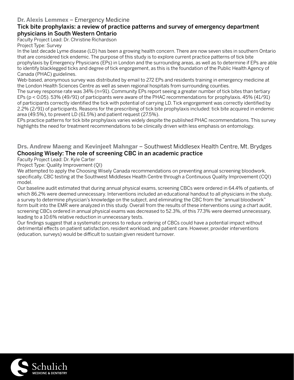#### **Dr. Alexis Lemmex** – Emergency Medicine

#### Tick bite prophylaxis: a review of practice patterns and survey of emergency department physicians in South Western Ontario

Faculty Project Lead: Dr. Christine Richardson

Project Type: Survey

In the last decade Lyme disease (LD) has been a growing health concern. There are now seven sites in southern Ontario that are considered tick endemic. The purpose of this study is to explore current practice patterns of tick bite prophylaxis by Emergency Physicians (EPs) in London and the surrounding areas, as well as to determine if EPs are able to identify blacklegged ticks and degree of tick engorgement, as this is the foundation of the Public Health Agency of Canada (PHAC) guidelines.

Web-based, anonymous survey was distributed by email to 272 EPs and residents training in emergency medicine at the London Health Sciences Centre as well as seven regional hospitals from surrounding counties.

The survey response rate was 34% (n=91). Community EPs report seeing a greater number of tick bites than tertiary EPs (p < 0.05). 53% (49/91) of participants were aware of the PHAC recommendations for prophylaxis. 45% (41/91) of participants correctly identified the tick with potential of carrying LD. Tick engorgement was correctly identified by 2.2% (2/91) of participants. Reasons for the prescribing of tick bite prophylaxis included: tick bite acquired in endemic area (49.5%), to prevent LD (61.5%) and patient request (27.5%).

EPs practice patterns for tick bite prophylaxis varies widely despite the published PHAC recommendations. This survey highlights the need for treatment recommendations to be clinically driven with less emphasis on entomology.

#### **Drs. Andrew Maeng and Kevinjeet Mahngar** – Southwest Middlesex Health Centre, Mt. Brydges Choosing Wisely: The role of screening CBC in an academic practice

Faculty Project Lead: Dr. Kyle Carter

Project Type: Quality Improvement (QI)

We attempted to apply the Choosing Wisely Canada recommendations on preventing annual screening bloodwork, specifically, CBC testing at the Southwest Middlesex Health Centre through a Continuous Quality Improvement (CQI) model.

Our baseline audit estimated that during annual physical exams, screening CBCs were ordered in 64.4% of patients, of which 86.2% were deemed unnecessary. Interventions included an educational handout to all physicians in the study, a survey to determine physician's knowledge on the subject, and eliminating the CBC from the "annual bloodwork" form built into the EMR were analyzed in this study. Overall from the results of these interventions using a chart audit, screening CBCs ordered in annual physical exams was decreased to 52.3%, of this 77.3% were deemed unnecessary, leading to a 10.6% relative reduction in unnecessary tests.

Our findings suggest that a systematic process to reduce ordering of CBCs could have a potential impact without detrimental effects on patient satisfaction, resident workload, and patient care. However, provider interventions (education, surveys) would be difficult to sustain given resident turnover.

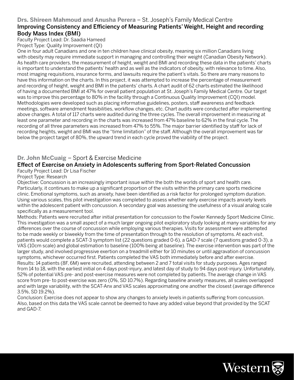#### **Drs. Shireen Mahmoud and Anusha Perera** – St. Joseph's Family Medical Centre

#### Improving Consistency and Efficiency of Measuring Patients' Weight, Height and recording Body Mass Index (BMI)

Faculty Project Lead: Dr. Saadia Hameed

Project Type: Quality Improvement (QI)

One in four adult Canadians and one in ten children have clinical obesity, meaning six million Canadians living with obesity may require immediate support in managing and controlling their weight (Canadian Obesity Network). As health care providers, the measurement of height, weight and BMI and recording these data in the patients' charts is important to understand the patients' health and as well as the indicators of obesity, with relevance to time. Also, most imaging requisitions, insurance forms, and lawsuits require the patient's vitals. So there are many reasons to have this information on the charts. In this project, it was attempted to increase the percentage of measurement and recording of height, weight and BMI in the patients' charts. A chart audit of 62 charts estimated the likelihood of having a documented BMI at 47% for overall patient population at St. Joseph's Family Medical Centre. Our target was to improve this percentage to 80% in the facility through a Continuous Quality Improvement (CQI) model. Methodologies were developed such as placing informative guidelines, posters, staff awareness and feedback meetings, software amendment feasibilities, workflow changes, etc. Chart audits were conducted after implementing above changes. A total of 117 charts were audited during the three cycles. The overall improvement in measuring at least one parameter and recording in the charts was increased from 47% baseline to 62% in the final cycle. The recording of all three parameters was increased from 47% to 55%. The major barrier identified by staff for lack of recording heights, weight and BMI was the "time limitation" of the staff. Although the overall improvement was far below the project target of 80%, the upward trend in each cycle proved the viability of the project.

#### **Dr. John McCuaig** – Sport & Exercise Medicine

#### Effect of Exercise on Anxiety in Adolescents suffering from Sport-Related Concussion

Faculty Project Lead: Dr Lisa Fischer

Project Type: Research

Objective: Concussion is an increasingly important issue within the both the worlds of sport and health care. Particularly, it continues to make up a significant proportion of the visits within the primary care sports medicine clinic. Emotional symptoms, such as anxiety, have been identified as a risk factor for prolonged symptom duration. Using various scales, this pilot investigation was completed to assess whether early exercise impacts anxiety levels within the adolescent patient with concussion. A secondary goal was assessing the usefulness of a visual analog scale specifically as a measurement tool.

Methods: Patients were recruited after initial presentation for concussion to the Fowler Kennedy Sport Medicine Clinic. This investigation was a small aspect of a much larger ongoing pilot exploratory study looking at many variables for any differences over the course of concussion while employing various therapies. Visits for assessment were attempted to be made weekly or biweekly from the time of presentation through to the resolution of symptoms. At each visit, patients would complete a SCAT-3 symptom list (22 questions graded 0-6), a GAD-7 scale (7 questions graded 0-3), a VAS (10cm scale) and global estimation to baseline (100% being at baseline). The exercise intervention was part of the larger study, and involved progressive exertion on a treadmill either for 10 minutes or until aggravation of concussion symptoms, whichever occurred first. Patients completed the VAS both immediately before and after exercise. Results: 14 patients (8F, 6M) were recruited, attending between 2 and 7 total visits for study purposes. Ages ranged from 14 to 18, with the earliest initial on 4 days post-injury, and latest day of study to 94 days post-injury. Unfortunately, 52% of potential VAS pre- and post-exercise measures were not completed by patients. The average change in VAS score from pre- to post-exercise was zero (0%, SD 10.7%). Regarding baseline anxiety measures, all scales overlapped and with large variability, with the SCAT-Anx and VAS scales approximating one another the closest (average difference 3.5%, SD 19.2%).

Conclusion: Exercise does not appear to show any changes to anxiety levels in patients suffering from concussion. Also, based on this data the VAS scale cannot be deemed to have any added value beyond that provided by the SCAT and GAD-7.

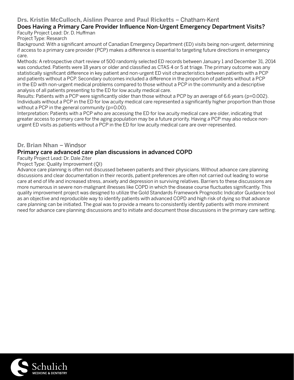#### **Drs. Kristin McCulloch, Aislinn Pearce and Paul Ricketts** – Chatham-Kent

#### Does Having a Primary Care Provider Influence Non-Urgent Emergency Department Visits? Faculty Project Lead: Dr. D. Huffman

Project Type: Research

Background: With a significant amount of Canadian Emergency Department (ED) visits being non-urgent, determining if access to a primary care provider (PCP) makes a difference is essential to targeting future directions in emergency care.

Methods: A retrospective chart review of 500 randomly selected ED records between January 1 and December 31, 2014 was conducted. Patients were 18 years or older and classified as CTAS 4 or 5 at triage. The primary outcome was any statistically significant difference in key patient and non-urgent ED visit characteristics between patients with a PCP and patients without a PCP. Secondary outcomes included a difference in the proportion of patients without a PCP in the ED with non-urgent medical problems compared to those without a PCP in the community and a descriptive analysis of all patients presenting to the ED for low acuity medical care.

Results: Patients with a PCP were significantly older than those without a PCP by an average of 6.6 years (p=0.002). Individuals without a PCP in the ED for low acuity medical care represented a significantly higher proportion than those without a PCP in the general community (p=0.00).

Interpretation: Patients with a PCP who are accessing the ED for low acuity medical care are older, indicating that greater access to primary care for the aging population may be a future priority. Having a PCP may also reduce nonurgent ED visits as patients without a PCP in the ED for low acuity medical care are over-represented.

#### **Dr. Brian Nhan** – Windsor

#### Primary care advanced care plan discussions in advanced COPD

Faculty Project Lead: Dr. Dale Ziter

Project Type: Quality Improvement (QI)

Advance care planning is often not discussed between patients and their physicians. Without advance care planning discussions and clear documentation in their records, patient preferences are often not carried out leading to worse care at end of life and increased stress, anxiety and depression in surviving relatives. Barriers to these discussions are more numerous in severe non-malignant illnesses like COPD in which the disease course fluctuates significantly. This quality improvement project was designed to utilize the Gold Standards Framework Prognostic Indicator Guidance tool as an objective and reproducible way to identify patients with advanced COPD and high risk of dying so that advance care planning can be initiated. The goal was to provide a means to consistently identify patients with more imminent need for advance care planning discussions and to initiate and document those discussions in the primary care setting.

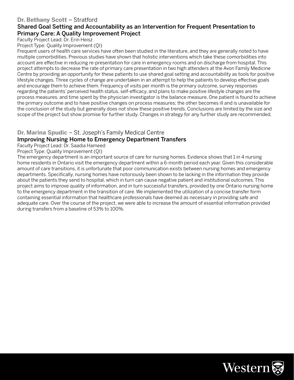#### **Dr. Bethany Scott** – Stratford

#### Shared Goal Setting and Accountability as an Intervention for Frequent Presentation to Primary Care: A Quality Improvement Project

Faculty Project Lead: Dr. Erin Heisz

Project Type: Quality Improvement (QI)

Frequent users of health care services have often been studied in the literature, and they are generally noted to have multiple comorbidities. Previous studies have shown that holistic interventions which take these comorbidities into account are effective in reducing re-presentation for care in emergency rooms and on discharge from hospital. This project attempts to decrease the rate of primary care presentation in two high attenders at the Avon Family Medicine Centre by providing an opportunity for these patients to use shared goal setting and accountability as tools for positive lifestyle changes. Three cycles of change are undertaken in an attempt to help the patients to develop effective goals and encourage them to achieve them. Frequency of visits per month is the primary outcome, survey responses regarding the patients' perceived health status, self-efficacy, and plans to make positive lifestyle changes are the process measures, and time spent by the physician investigator is the balance measure. One patient is found to achieve the primary outcome and to have positive changes on process measures; the other becomes ill and is unavailable for the conclusion of the study but generally does not show these positive trends. Conclusions are limited by the size and scope of the project but show promise for further study. Changes in strategy for any further study are recommended.

## **Dr. Marina Spudic** – St. Joseph's Family Medical Centre

#### Improving Nursing Home to Emergency Department Transfers

Faculty Project Lead: Dr. Saadia Hameed

Project Type: Quality Improvement (QI)

The emergency department is an important source of care for nursing homes. Evidence shows that 1 in 4 nursing home residents in Ontario visit the emergency department within a 6-month period each year. Given this considerable amount of care transitions, it is unfortunate that poor communication exists between nursing homes and emergency departments. Specifically, nursing homes have notoriously been shown to be lacking in the information they provide about the patients they send to hospital, which in turn can cause negative patient and institutional outcomes. This project aims to improve quality of information, and in turn successful transfers, provided by one Ontario nursing home to the emergency department in the transition of care. We implemented the utilization of a concise transfer form containing essential information that healthcare professionals have deemed as necessary in providing safe and adequate care. Over the course of the project, we were able to increase the amount of essential information provided during transfers from a baseline of 53% to 100%.

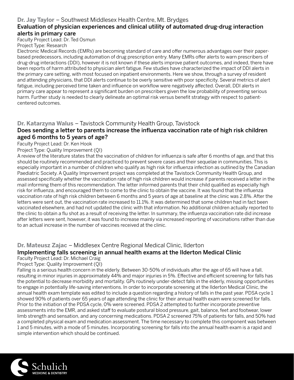#### **Dr. Jay Taylor** – Southwest Middlesex Health Centre, Mt. Brydges

#### Evaluation of physician experiences and clinical utility of automated drug-drug interaction alerts in primary care

Faculty Project Lead: Dr. Ted Osmun Project Type: Research

Electronic Medical Records (EMRs) are becoming standard of care and offer numerous advantages over their paperbased predecessors, including automation of drug prescription entry. Many EMRs offer alerts to warn prescribers of drug-drug interactions (DDI), however it is not known if these alerts improve patient outcomes, and indeed, there have been reports of harm attributed to physician alert fatigue. Few studies have characterized the impact of DDI alerts in the primary care setting, with most focused on inpatient environments. Here we show, through a survey of resident and attending physicians, that DDI alerts continue to be overly sensitive with poor specificity. Several metrics of alert fatigue, including perceived time taken and influence on workflow were negatively affected. Overall, DDI alerts in primary care appear to represent a significant burden on prescribers given the low probability of preventing serious harm. Further study is needed to clearly delineate an optimal risk versus benefit strategy with respect to patientcentered outcomes.

#### **Dr. Katarzyna Walus** – Tavistock Community Health Group, Tavistock

#### Does sending a letter to parents increase the influenza vaccination rate of high risk children aged 6 months to 5 years of age?

Faculty Project Lead: Dr. Ken Hook

#### Project Type: Quality Improvement (QI)

A review of the literature states that the vaccination of children for influenza is safe after 6 months of age, and that this should be routinely recommended and practiced to prevent severe cases and their sequelae in communities. This is especially important in a number of children who qualify as high risk for influenza infection as outlined by the Canadian Paediatric Society. A Quality Improvement project was completed at the Tavistock Community Health Group, and assessed specifically whether the vaccination rate of high risk children would increase if parents received a letter in the mail informing them of this recommendation. The letter informed parents that their child qualified as especially high risk for influenza, and encouraged them to come to the clinic to obtain the vaccine. It was found that the influenza vaccination rate of high risk children between 6 months and 5 years of age at baseline at the clinic was 2.8%. After the letters were sent out, the vaccination rate increased to 11.1%. It was determined that some children had in fact been vaccinated elsewhere, and had not updated the clinic with that information. No additional children actually reported to the clinic to obtain a flu shot as a result of receiving the letter. In summary, the influenza vaccination rate did increase after letters were sent, however, it was found to increase mainly via increased reporting of vaccinations rather than due to an actual increase in the number of vaccines received at the clinic.

#### **Dr. Mateusz Zajac** – Middlesex Centre Regional Medical Clinic, Ilderton

#### Implementing falls screening in annual health exams at the Ilderton Medical Clinic

#### Faculty Project Lead: Dr. Michael Craig

Project Type: Quality Improvement (QI)

Falling is a serious health concern in the elderly. Between 30-50% of individuals after the age of 65 will have a fall, resulting in minor injuries in approximately 44% and major injuries in 5%. Effective and efficient screening for falls has the potential to decrease morbidity and mortality. GPs routinely under-detect falls in the elderly, missing opportunities to engage in potentially life-saving interventions. In order to incorporate screening at the Ilderton Medical Clinic, the annual health exam template was edited to include a question regarding a history of falls in the past year. PDSA cycle 1 showed 90% of patients over 65 years of age attending the clinic for their annual health exam were screened for falls. Prior to the initiation of the PDSA cycle, 0% were screened. PDSA 2 attempted to further incorporate preventive assessments into the EMR, and asked staff to evaluate postural blood pressure, gait, balance, feet and footwear, lower limb strength and sensation, and any concerning medications. PDSA 2 screened 75% of patients for falls, and 50% had a completed physical exam and medication assessment. The time necessary to complete this component was between 1 and 5 minutes, with a mode of 5 minutes. Incorporating screening for falls into the annual health exam is a rapid and simple intervention which should be continued.

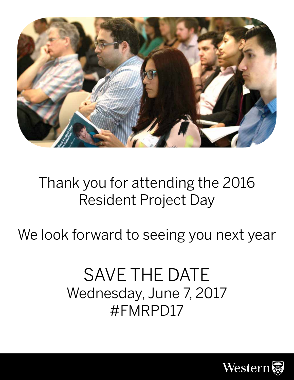

# Thank you for attending the 2016 Resident Project Day

We look forward to seeing you next year

# SAVE THE DATE Wednesday, June 7, 2017 #FMRPD17